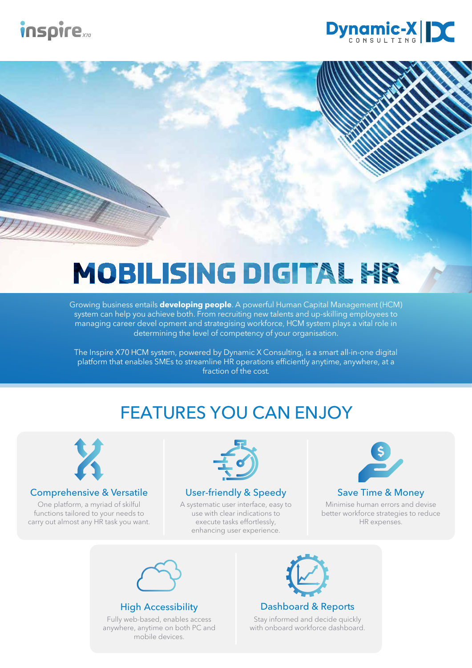



# **MOBILISING DIGITAL HR**

Growing business entails **developing people**. A powerful Human Capital Management (HCM) system can help you achieve both. From recruiting new talents and up-skilling employees to managing career devel opment and strategising workforce, HCM system plays a vital role in determining the level of competency of your organisation.

The Inspire X70 HCM system, powered by Dynamic X Consulting, is a smart all-in-one digital platform that enables SMEs to streamline HR operations efficiently anytime, anywhere, at a fraction of the cost.

## FEATURES YOU CAN ENJOY



#### Comprehensive & Versatile

One platform, a myriad of skilful functions tailored to your needs to carry out almost any HR task you want.



#### User-friendly & Speedy

A systematic user interface, easy to use with clear indications to execute tasks effortlessly, enhancing user experience.



#### Save Time & Money

Minimise human errors and devise better workforce strategies to reduce HR expenses.



#### High Accessibility

Fully web-based, enables access anywhere, anytime on both PC and mobile devices.



Dashboard & Reports

Stay informed and decide quickly with onboard workforce dashboard.